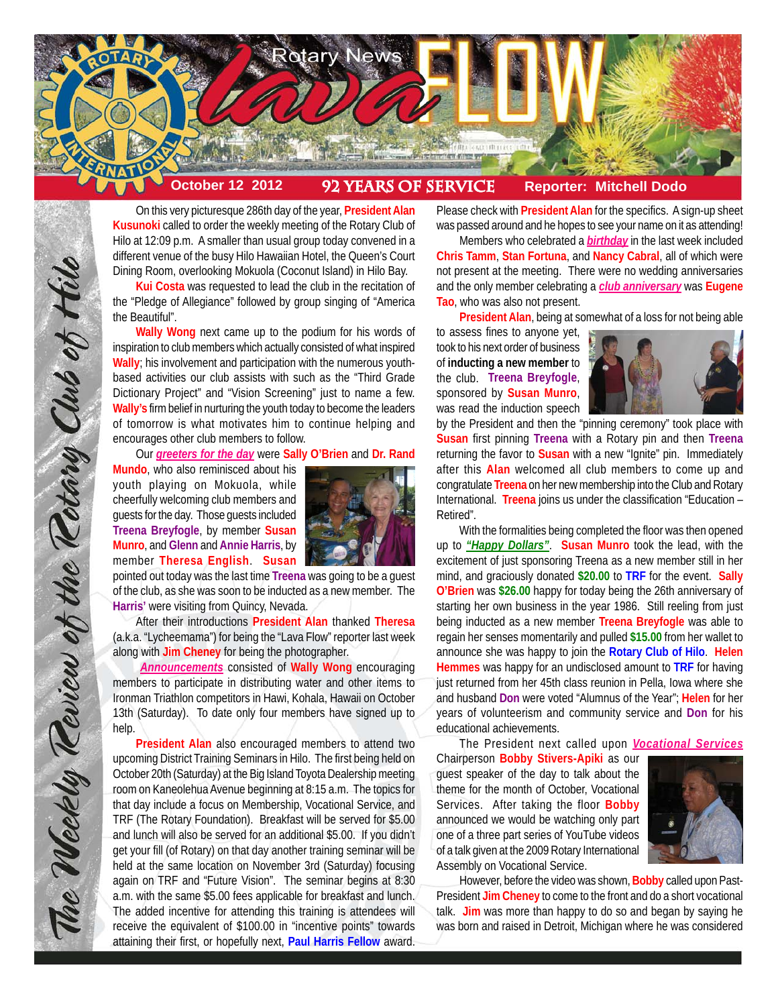

On this very picturesque 286th day of the year, **President Alan Kusunoki** called to order the weekly meeting of the Rotary Club of Hilo at 12:09 p.m. A smaller than usual group today convened in a different venue of the busy Hilo Hawaiian Hotel, the Queen's Court Dining Room, overlooking Mokuola (Coconut Island) in Hilo Bay.

**Kui Costa** was requested to lead the club in the recitation of the "Pledge of Allegiance" followed by group singing of "America the Beautiful".

**Wally Wong** next came up to the podium for his words of inspiration to club members which actually consisted of what inspired **Wally**; his involvement and participation with the numerous youthbased activities our club assists with such as the "Third Grade Dictionary Project" and "Vision Screening" just to name a few. **Wally's** firm belief in nurturing the youth today to become the leaders of tomorrow is what motivates him to continue helping and encourages other club members to follow.

Our *greeters for the day* were **Sally O'Brien** and **Dr. Rand**

**Mundo**, who also reminisced about his youth playing on Mokuola, while cheerfully welcoming club members and guests for the day. Those guests included **Treena Breyfogle**, by member **Susan Munro**, and **Glenn** and **Annie Harris**, by member **Theresa English**. **Susan**

The Weekly Teview of the Tetary Club of Hilo

pointed out today was the last time **Treena** was going to be a guest of the club, as she was soon to be inducted as a new member. The **Harris'** were visiting from Quincy, Nevada.

After their introductions **President Alan** thanked **Theresa** (a.k.a. "Lycheemama") for being the "Lava Flow" reporter last week along with **Jim Cheney** for being the photographer.

*Announcements* consisted of **Wally Wong** encouraging members to participate in distributing water and other items to Ironman Triathlon competitors in Hawi, Kohala, Hawaii on October 13th (Saturday). To date only four members have signed up to help.

**President Alan** also encouraged members to attend two upcoming District Training Seminars in Hilo. The first being held on October 20th (Saturday) at the Big Island Toyota Dealership meeting room on Kaneolehua Avenue beginning at 8:15 a.m. The topics for that day include a focus on Membership, Vocational Service, and TRF (The Rotary Foundation). Breakfast will be served for \$5.00 and lunch will also be served for an additional \$5.00. If you didn't get your fill (of Rotary) on that day another training seminar will be held at the same location on November 3rd (Saturday) focusing again on TRF and "Future Vision". The seminar begins at 8:30 a.m. with the same \$5.00 fees applicable for breakfast and lunch. The added incentive for attending this training is attendees will receive the equivalent of \$100.00 in "incentive points" towards attaining their first, or hopefully next, **Paul Harris Fellow** award.

Please check with **President Alan** for the specifics. A sign-up sheet was passed around and he hopes to see your name on it as attending!

Members who celebrated a *birthday* in the last week included **Chris Tamm**, **Stan Fortuna**, and **Nancy Cabral**, all of which were not present at the meeting. There were no wedding anniversaries and the only member celebrating a *club anniversary* was **Eugene Tao**, who was also not present.

**President Alan**, being at somewhat of a loss for not being able

to assess fines to anyone yet, took to his next order of business of **inducting a new member** to the club. **Treena Breyfogle**, sponsored by **Susan Munro**, was read the induction speech



by the President and then the "pinning ceremony" took place with **Susan** first pinning **Treena** with a Rotary pin and then **Treena** returning the favor to **Susan** with a new "Ignite" pin. Immediately after this **Alan** welcomed all club members to come up and congratulate **Treena** on her new membership into the Club and Rotary International. **Treena** joins us under the classification "Education – Retired".

With the formalities being completed the floor was then opened up to *"Happy Dollars"*. **Susan Munro** took the lead, with the excitement of just sponsoring Treena as a new member still in her mind, and graciously donated **\$20.00** to **TRF** for the event. **Sally O'Brien** was **\$26.00** happy for today being the 26th anniversary of starting her own business in the year 1986. Still reeling from just being inducted as a new member **Treena Breyfogle** was able to regain her senses momentarily and pulled **\$15.00** from her wallet to announce she was happy to join the **Rotary Club of Hilo**. **Helen Hemmes** was happy for an undisclosed amount to **TRF** for having just returned from her 45th class reunion in Pella, Iowa where she and husband **Don** were voted "Alumnus of the Year"; **Helen** for her years of volunteerism and community service and **Don** for his educational achievements.

The President next called upon *Vocational Services*

Chairperson **Bobby Stivers-Apiki** as our guest speaker of the day to talk about the theme for the month of October, Vocational Services. After taking the floor **Bobby** announced we would be watching only part one of a three part series of YouTube videos of a talk given at the 2009 Rotary International Assembly on Vocational Service.



However, before the video was shown, **Bobby** called upon Past-President **Jim Cheney** to come to the front and do a short vocational talk. **Jim** was more than happy to do so and began by saying he was born and raised in Detroit, Michigan where he was considered